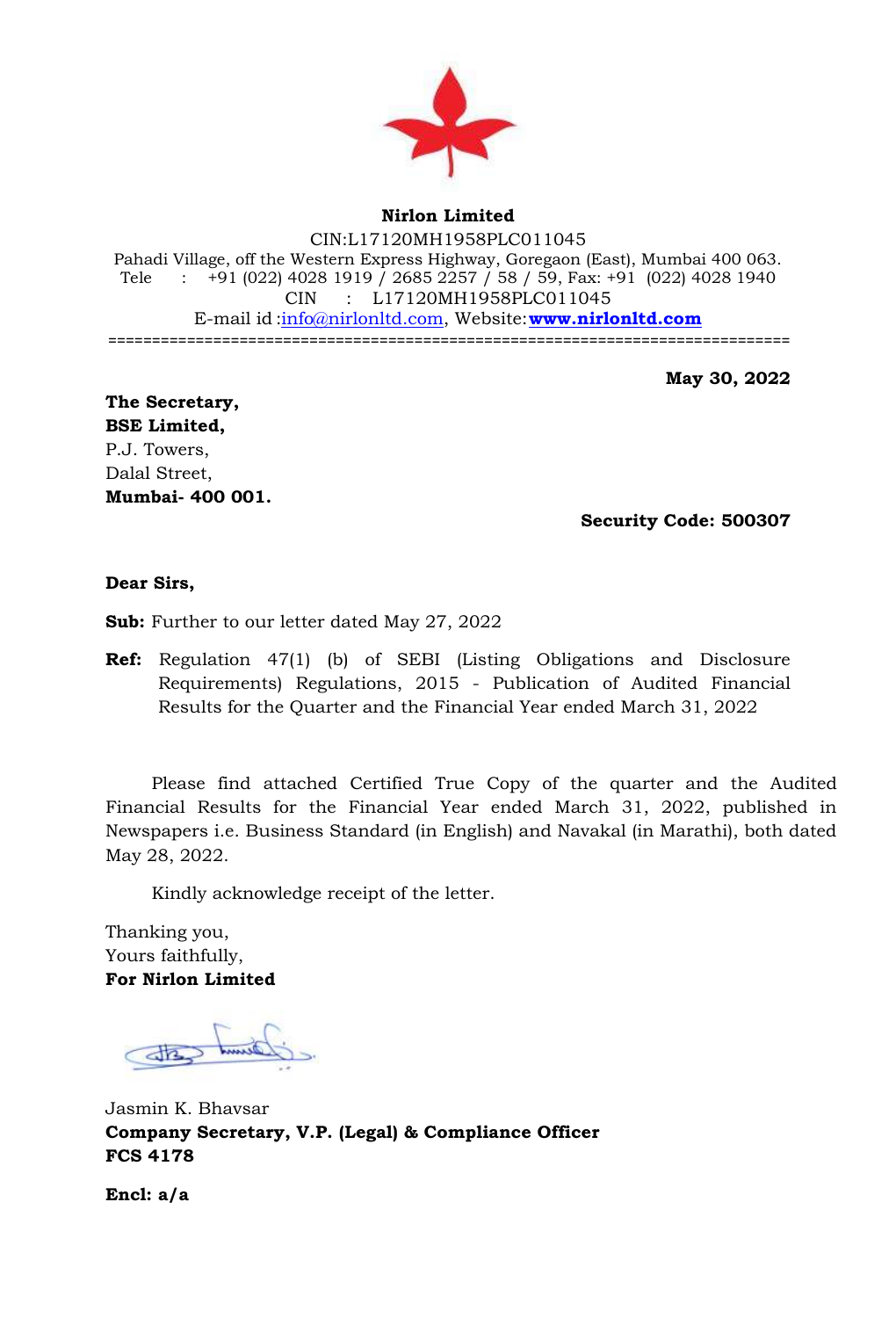

## **Nirlon Limited**

CIN:L17120MH1958PLC011045 Pahadi Village, off the Western Express Highway, Goregaon (East), Mumbai 400 063. Tele : +91 (022) 4028 1919 / 2685 2257 / 58 / 59, Fax: +91 (022) 4028 1940 CIN : L17120MH1958PLC011045 E-mail id [:info@nirlonltd.com,](mailto:info@nirlonltd.com) Website:**[www.nirlonltd.com](http://www.nirlonltd.com/)** ==============================================================================

**May 30, 2022**

**The Secretary, BSE Limited,** P.J. Towers, Dalal Street, **Mumbai- 400 001.** 

**Security Code: 500307**

**Dear Sirs,**

**Sub:** Further to our letter dated May 27, 2022

**Ref:** Regulation 47(1) (b) of SEBI (Listing Obligations and Disclosure Requirements) Regulations, 2015 - Publication of Audited Financial Results for the Quarter and the Financial Year ended March 31, 2022

Please find attached Certified True Copy of the quarter and the Audited Financial Results for the Financial Year ended March 31, 2022, published in Newspapers i.e. Business Standard (in English) and Navakal (in Marathi), both dated May 28, 2022.

Kindly acknowledge receipt of the letter.

Thanking you, Yours faithfully, **For Nirlon Limited**

Jasmin K. Bhavsar **Company Secretary, V.P. (Legal) & Compliance Officer FCS 4178**

**Encl: a/a**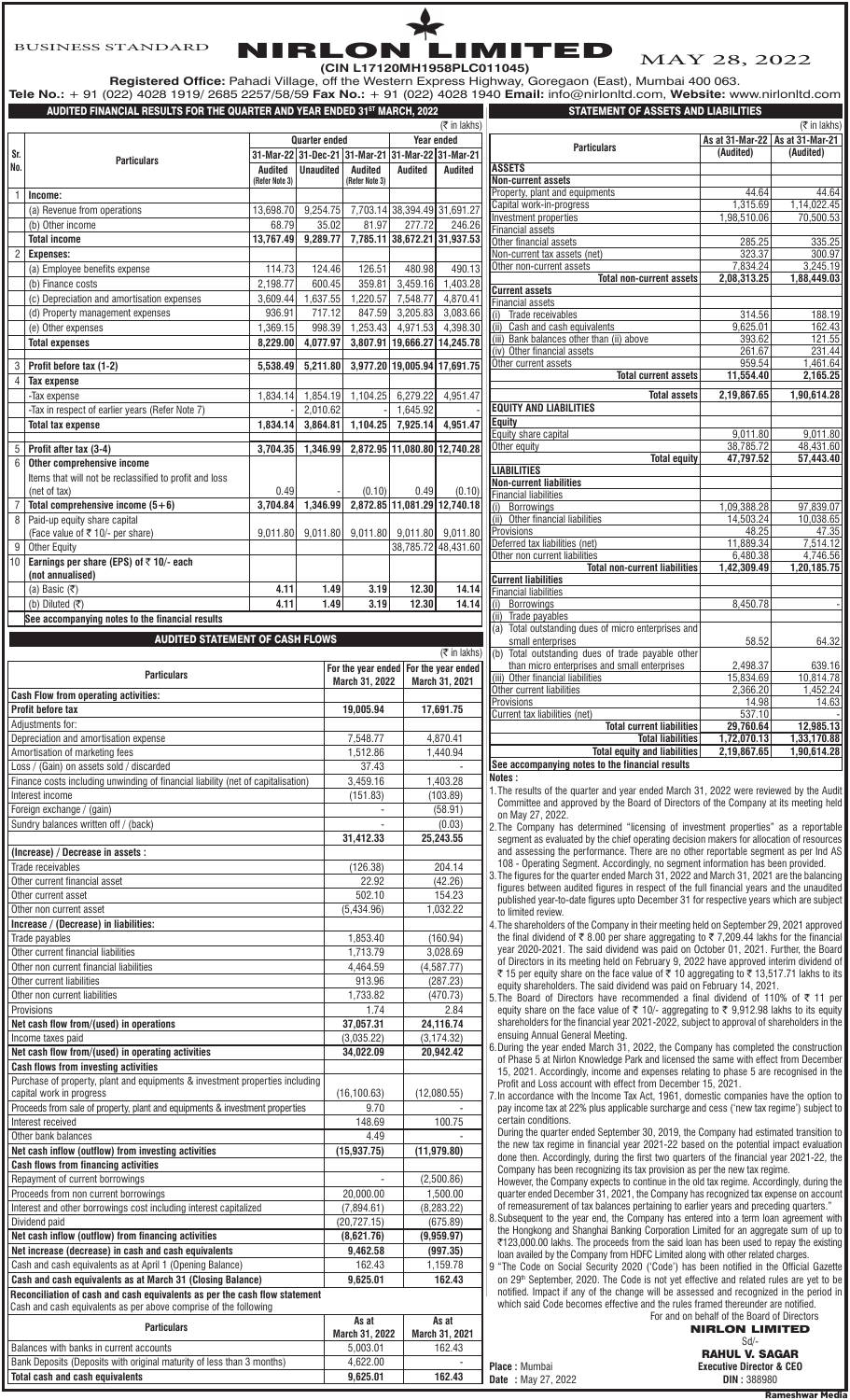NIRLON LIMITED **(CIN L17120MH1958PLC011045)**

MAY 28, 2022

**Registered Office:** Pahadi Village, off the Western Express Highway, Goregaon (East), Mumbai 400 063. **Tele No.:** + 91 (022) 4028 1919/ 2685 2257/58/59 **Fax No.:** + 91 (022) 4028 1940 **Email:** info@nirlonltd.com, **Website:** www.nirlonltd.com

|                | AUDITED FINANCIAL RESULTS FOR THE QUARTER AND YEAR ENDED 31ST MARCH, 2022        |                |                      |                                                   | - (--- <i>)</i> .-           |                              | <b>STATEMENT OF ASSETS AND LIABILITIES</b>                                            |                      |
|----------------|----------------------------------------------------------------------------------|----------------|----------------------|---------------------------------------------------|------------------------------|------------------------------|---------------------------------------------------------------------------------------|----------------------|
|                |                                                                                  |                |                      |                                                   |                              | $($ ₹ in lakhs)              |                                                                                       |                      |
|                |                                                                                  |                | <b>Quarter ended</b> |                                                   |                              | Year ended                   |                                                                                       | As at 31-Mar-2       |
| Sr.            | <b>Particulars</b>                                                               |                |                      | 31-Mar-22 31-Dec-21 31-Mar-21 31-Mar-22 31-Mar-21 |                              |                              | <b>Particulars</b>                                                                    | (Audited)            |
| No.            |                                                                                  | Audited        | <b>Unaudited</b>     | Audited                                           | Audited                      | Audited                      | <b>ASSETS</b>                                                                         |                      |
|                |                                                                                  | (Refer Note 3) |                      | (Refer Note 3)                                    |                              |                              | <b>Non-current assets</b>                                                             |                      |
| $\mathbf{1}$   | Income:                                                                          |                |                      |                                                   |                              |                              | Property, plant and equipments                                                        | 44.6                 |
|                | (a) Revenue from operations                                                      | 13,698.70      | 9,254.75             |                                                   | 7,703.14 38,394.49 31,691.27 |                              | Capital work-in-progress                                                              | 1,315.6              |
|                | (b) Other income                                                                 | 68.79          | 35.02                | 81.97                                             | 277.72                       | 246.26                       | Investment properties                                                                 | 1,98,510.0           |
|                | <b>Total income</b>                                                              | 13,767.49      | 9,289.77             |                                                   |                              | 7,785.11 38,672.21 31,937.53 | Financial assets<br>Other financial assets                                            | 285.2                |
| $\overline{2}$ | <b>Expenses:</b>                                                                 |                |                      |                                                   |                              |                              | Non-current tax assets (net)                                                          | 323.3                |
|                | (a) Employee benefits expense                                                    | 114.73         | 124.46               | 126.51                                            | 480.98                       | 490.13                       | Other non-current assets                                                              | 7,834.2              |
|                | (b) Finance costs                                                                | 2,198.77       | 600.45               | 359.81                                            | 3,459.16                     | 1,403.28                     | <b>Total non-current assets</b>                                                       | 2,08,313.2           |
|                |                                                                                  |                |                      |                                                   |                              |                              | <b>Current assets</b>                                                                 |                      |
|                | (c) Depreciation and amortisation expenses                                       | 3,609.44       | 1,637.55             | 1,220.57                                          | 7.548.77                     | 4,870.41                     | <b>Financial assets</b>                                                               |                      |
|                | (d) Property management expenses                                                 | 936.91         | 717.12               | 847.59                                            | 3,205.83                     | 3,083.66                     | (i) Trade receivables                                                                 | 314.                 |
|                | (e) Other expenses                                                               | 1,369.15       | 998.39               | 1,253.43                                          | 4,971.53                     | 4,398.30                     | (ii) Cash and cash equivalents                                                        | 9,625.0              |
|                | <b>Total expenses</b>                                                            | 8,229.00       | 4,077.97             |                                                   |                              | 3,807.91 19,666.27 14,245.78 | (iii) Bank balances other than (ii) above<br>(iv) Other financial assets              | 393.6<br>261.6       |
|                |                                                                                  |                |                      |                                                   |                              |                              | Other current assets                                                                  | 959.                 |
| 3              | Profit before tax (1-2)                                                          | 5,538.49       | 5,211.80             |                                                   |                              | 3,977.20 19,005.94 17,691.75 | <b>Total current assets</b>                                                           | 11,554.4             |
| $\overline{4}$ | <b>Tax expense</b>                                                               |                |                      |                                                   |                              |                              |                                                                                       |                      |
|                | -Tax expense                                                                     | 1,834.14       |                      | 1,854.19 1,104.25                                 | 6,279.22                     | 4,951.47                     | <b>Total assets</b>                                                                   | 2,19,867.0           |
|                | -Tax in respect of earlier years (Refer Note 7)                                  |                | 2,010.62             |                                                   | 1.645.92                     |                              | <b>EQUITY AND LIABILITIES</b>                                                         |                      |
|                | <b>Total tax expense</b>                                                         | 1,834.14       | 3,864.81             | 1,104.25                                          | 7,925.14                     | 4,951.47                     | Equity                                                                                |                      |
|                |                                                                                  |                |                      |                                                   |                              |                              | Equity share capital                                                                  | 9,011.8<br>38,785.7  |
|                | $5$ Profit after tax (3-4)                                                       | 3,704.35       | 1,346.99             |                                                   |                              | 2,872.95 11,080.80 12,740.28 | Other equity<br><b>Total equity</b>                                                   | 47,797.5             |
| 6              | Other comprehensive income                                                       |                |                      |                                                   |                              |                              | <b>LIABILITIES</b>                                                                    |                      |
|                | Items that will not be reclassified to profit and loss                           |                |                      |                                                   |                              |                              | <b>Non-current liabilities</b>                                                        |                      |
|                | (net of tax)                                                                     | 0.49           |                      | (0.10)                                            | 0.49                         | (0.10)                       | <b>Financial liabilities</b>                                                          |                      |
|                | Total comprehensive income $(5+6)$                                               | 3,704.84       | 1,346.99             |                                                   |                              | 2,872.85 11,081.29 12,740.18 | (i) Borrowings                                                                        | 1,09,388.2           |
| 8              | Paid-up equity share capital                                                     |                |                      |                                                   |                              |                              | (ii) Other financial liabilities                                                      | 14,503.2             |
|                | (Face value of $\overline{\tau}$ 10/- per share)                                 | 9,011.80       | 9,011.80             | 9,011.80                                          |                              | 9,011.80 9,011.80            | Provisions                                                                            | 48.2                 |
|                | 9 Other Equity                                                                   |                |                      |                                                   |                              | 38,785.72 48,431.60          | Deferred tax liabilities (net)                                                        | 11,889.3             |
|                | 10 Earnings per share (EPS) of ₹10/- each                                        |                |                      |                                                   |                              |                              | Other non current liabilities<br><b>Total non-current liabilities</b>                 | 6,480.<br>1,42,309.4 |
|                | (not annualised)                                                                 |                |                      |                                                   |                              |                              | <b>Current liabilities</b>                                                            |                      |
|                | (a) Basic $(\overline{\tau})$                                                    | 4.11           | 1.49                 | 3.19                                              | 12.30                        | 14.14                        | <b>Financial liabilities</b>                                                          |                      |
|                | (b) Diluted $(\overline{\tau})$                                                  | 4.11           | 1.49                 | 3.19                                              | 12.30                        | 14.14                        | (i) Borrowings                                                                        | 8,450.7              |
|                | See accompanying notes to the financial results                                  |                |                      |                                                   |                              |                              | (ii) Trade payables                                                                   |                      |
|                |                                                                                  |                |                      |                                                   |                              |                              | (a) Total outstanding dues of micro enterprises and                                   |                      |
|                | <b>AUDITED STATEMENT OF CASH FLOWS</b>                                           |                |                      |                                                   |                              |                              | small enterprises                                                                     | 58.5                 |
|                |                                                                                  |                |                      |                                                   |                              | $($ ₹ in lakhs)              | (b) Total outstanding dues of trade payable other                                     |                      |
|                | <b>Particulars</b>                                                               |                |                      | For the year ended                                |                              | For the year ended           | than micro enterprises and small enterprises<br>(iii) Other financial liabilities     | 2,498.3<br>15,834.6  |
|                |                                                                                  |                |                      | March 31, 2022                                    |                              | March 31, 2021               | Other current liabilities                                                             | 2,366.2              |
|                | <b>Cash Flow from operating activities:</b>                                      |                |                      |                                                   |                              |                              | Provisions                                                                            | 14.9                 |
|                | Profit before tax                                                                |                |                      | 19,005.94                                         |                              | 17,691.75                    | Current tax liabilities (net)                                                         | 537.                 |
|                | Adjustments for:                                                                 |                |                      |                                                   |                              |                              | <b>Total current liabilities</b>                                                      | 29,760.              |
|                | Depreciation and amortisation expense                                            |                |                      | 7,548.77                                          |                              | 4,870.41                     | <b>Total liabilities</b>                                                              | 1,72,070.1           |
|                | Amortisation of marketing fees                                                   |                |                      | 1,512.86                                          |                              | 1,440.94                     | <b>Total equity and liabilities</b>                                                   | 2,19,867.0           |
|                | Loss / (Gain) on assets sold / discarded                                         |                |                      | 37.43                                             |                              |                              | See accompanying notes to the financial results                                       |                      |
|                | Finance costs including unwinding of financial liability (net of capitalisation) |                |                      | 3,459.16                                          |                              | 1,403.28                     | Notes :                                                                               |                      |
|                | Interest income                                                                  |                |                      | (151.83)                                          |                              | (103.89)                     | 1. The results of the quarter and vear ended March 31, 2022 were re                   |                      |
|                | Foreign exchange / (gain)                                                        |                |                      | $\overline{\phantom{a}}$                          |                              | (58.91)                      | Committee and approved by the Board of Directors of the Compan                        |                      |
|                | Sundry balances written off / (back)                                             |                |                      | $\overline{\phantom{a}}$                          |                              | (0.03)                       | on May 27, 2022.<br>2. The Company has determined "licensing of investment propertion |                      |
|                |                                                                                  |                |                      | 31,412.33                                         |                              | 25,243.55                    | segment as evaluated by the chief operating decision makers for all                   |                      |
|                | (Increase) / Decrease in assets :                                                |                |                      |                                                   |                              |                              | and assessing the performance. There are no other reportable see                      |                      |
|                | Trade receivables                                                                |                |                      | (126.38)                                          |                              | 204.14                       | 108 - Operating Segment. Accordingly, no segment information ha                       |                      |
|                | Other current financial asset                                                    |                |                      | 22.92                                             |                              | (42.26)                      | 3. The figures for the quarter ended March 31, 2022 and March 31, 20                  |                      |
|                |                                                                                  |                |                      |                                                   |                              |                              | figures between audited figures in respect of the full financial year                 |                      |

| Loss / (Gain) on assets sold / discarded                                         | 37.43          |                |
|----------------------------------------------------------------------------------|----------------|----------------|
| Finance costs including unwinding of financial liability (net of capitalisation) | 3,459.16       | 1,403.28       |
| Interest income                                                                  | (151.83)       | (103.89)       |
| Foreign exchange / (gain)                                                        |                | (58.91)        |
| Sundry balances written off / (back)                                             |                | (0.03)         |
|                                                                                  | 31,412.33      | 25,243.55      |
| (Increase) / Decrease in assets :                                                |                |                |
| Trade receivables                                                                | (126.38)       | 204.14         |
| Other current financial asset                                                    | 22.92          | (42.26)        |
| Other current asset                                                              | 502.10         | 154.23         |
| Other non current asset                                                          | (5,434.96)     | 1,032.22       |
| Increase / (Decrease) in liabilities:                                            |                |                |
| Trade payables                                                                   | 1,853.40       | (160.94)       |
| Other current financial liabilities                                              | 1,713.79       | 3,028.69       |
| Other non current financial liabilities                                          | 4,464.59       | (4,587.77)     |
| Other current liabilities                                                        | 913.96         | (287.23)       |
| Other non current liabilities                                                    | 1,733.82       | (470.73)       |
| Provisions                                                                       | 1.74           | 2.84           |
| Net cash flow from/(used) in operations                                          | 37,057.31      | 24,116.74      |
| Income taxes paid                                                                | (3,035.22)     | (3, 174.32)    |
| Net cash flow from/(used) in operating activities                                | 34,022.09      | 20,942.42      |
| <b>Cash flows from investing activities</b>                                      |                |                |
| Purchase of property, plant and equipments & investment properties including     |                |                |
| capital work in progress                                                         | (16, 100.63)   | (12,080.55)    |
| Proceeds from sale of property, plant and equipments & investment properties     | 9.70           |                |
| Interest received                                                                | 148.69         | 100.75         |
| Other bank balances                                                              | 4.49           |                |
| Net cash inflow (outflow) from investing activities                              | (15, 937.75)   | (11, 979.80)   |
| <b>Cash flows from financing activities</b>                                      |                |                |
| Repayment of current borrowings                                                  |                | (2,500.86)     |
| Proceeds from non current borrowings                                             | 20,000.00      | 1,500.00       |
| Interest and other borrowings cost including interest capitalized                | (7,894.61)     | (8, 283.22)    |
| Dividend paid                                                                    | (20, 727.15)   | (675.89)       |
| Net cash inflow (outflow) from financing activities                              | (8,621.76)     | (9,959.97)     |
| Net increase (decrease) in cash and cash equivalents                             | 9,462.58       | (997.35)       |
| Cash and cash equivalents as at April 1 (Opening Balance)                        | 162.43         | 1,159.78       |
| Cash and cash equivalents as at March 31 (Closing Balance)                       | 9,625.01       | 162.43         |
| Reconciliation of cash and cash equivalents as per the cash flow statement       |                |                |
| Cash and cash equivalents as per above comprise of the following                 |                |                |
| <b>Particulars</b>                                                               | As at          | As at          |
|                                                                                  | March 31, 2022 | March 31, 2021 |
| Balances with banks in current accounts                                          | 5,003.01       | 162.43         |

Bank Deposits (Deposits with original maturity of less than 3 months) 4,622.00 -

**Total cash and cash equivalents** 9,625.01

| STATEMENT OF ASSETS AND LIABILITIES<br>(₹ in lakhs) |                 |                 |  |  |  |
|-----------------------------------------------------|-----------------|-----------------|--|--|--|
|                                                     | As at 31-Mar-22 | As at 31-Mar-21 |  |  |  |
| <b>Particulars</b>                                  | (Audited)       | (Audited)       |  |  |  |
| <b>ASSETS</b>                                       |                 |                 |  |  |  |
| <b>Non-current assets</b>                           |                 |                 |  |  |  |
| Property, plant and equipments                      | 44.64           | 44.64           |  |  |  |
| Capital work-in-progress                            | 1,315.69        | 1,14,022.45     |  |  |  |
| Investment properties                               | 1,98,510.06     | 70,500.53       |  |  |  |
| <b>Financial assets</b>                             |                 |                 |  |  |  |
| Other financial assets                              | 285.25          | 335.25          |  |  |  |
| Non-current tax assets (net)                        | 323.37          | 300.97          |  |  |  |
| Other non-current assets                            | 7.834.24        | 3.245.19        |  |  |  |
| <b>Total non-current assets</b>                     | 2,08,313.25     | 1,88,449.03     |  |  |  |
| <b>Current assets</b>                               |                 |                 |  |  |  |
| <b>Financial assets</b>                             |                 |                 |  |  |  |
| Trade receivables<br>(i)                            | 314.56          | 188.19          |  |  |  |
| (ii) Cash and cash equivalents                      | 9.625.01        | 162.43          |  |  |  |
| (iii) Bank balances other than (ii) above           | 393.62          | 121.55          |  |  |  |
| (iv) Other financial assets                         | 261.67          | 231.44          |  |  |  |
| Other current assets                                | 959.54          | 1,461.64        |  |  |  |
| <b>Total current assets</b>                         | 11.554.40       | 2.165.25        |  |  |  |
| <b>Total assets</b>                                 | 2,19,867.65     | 1,90,614.28     |  |  |  |
| <b>EQUITY AND LIABILITIES</b>                       |                 |                 |  |  |  |
| Equity                                              |                 |                 |  |  |  |
| Equity share capital                                | 9,011.80        | 9,011.80        |  |  |  |
| Other equity                                        | 38.785.72       | 48.431.60       |  |  |  |
| <b>Total equity</b>                                 | 47,797.52       | 57,443.40       |  |  |  |
| <b>LIABILITIES</b>                                  |                 |                 |  |  |  |
| <b>Non-current liabilities</b>                      |                 |                 |  |  |  |
| <b>Financial liabilities</b>                        |                 |                 |  |  |  |
| (i) Borrowings                                      | 1,09,388.28     | 97,839.07       |  |  |  |
| (ii) Other financial liabilities                    | 14,503.24       | 10,038.65       |  |  |  |
| Provisions                                          | 48.25           | 47.35           |  |  |  |
| Deferred tax liabilities (net)                      | 11,889.34       | 7.514.12        |  |  |  |
| Other non current liabilities                       | 6,480.38        | 4,746.56        |  |  |  |
| <b>Total non-current liabilities</b>                | 1,42,309.49     | 1,20,185.75     |  |  |  |
| <b>Current liabilities</b>                          |                 |                 |  |  |  |
| <b>Financial liabilities</b>                        |                 |                 |  |  |  |
| <b>Borrowings</b><br>(i)                            | 8,450.78        |                 |  |  |  |
| (ii) Trade payables                                 |                 |                 |  |  |  |
| (a) Total outstanding dues of micro enterprises and |                 |                 |  |  |  |
| small enterprises                                   | 58.52           | 64.32           |  |  |  |
| (b) Total outstanding dues of trade payable other   |                 |                 |  |  |  |
| than micro enterprises and small enterprises        | 2,498.37        | 639.16          |  |  |  |
| (iii) Other financial liabilities                   | 15,834.69       | 10,814.78       |  |  |  |
| Other current liabilities                           | 2,366.20        | 1,452.24        |  |  |  |
| Provisions                                          | 14.98           | 14.63           |  |  |  |
| Current tax liabilities (net)                       | 537.10          |                 |  |  |  |
| <b>Total current liabilities</b>                    | 29.760.64       | 12,985.13       |  |  |  |
| <b>Total liabilities</b>                            | 1,72,070.13     | 1,33,170.88     |  |  |  |
| <b>Total equity and liabilities</b>                 | 2,19,867.65     | 1,90,614.28     |  |  |  |
| See accompanying notes to the financial results     |                 |                 |  |  |  |

**Place** : Mumbai **Date** : May 27, 2022

1.The results of the quarter and year ended March 31, 2022 were reviewed by the Audit Committee and approved by the Board of Directors of the Company at its meeting held on May 27, 2022.

2.The Company has determined "licensing of investment properties" as a reportable segment as evaluated by the chief operating decision makers for allocation of resources and assessing the performance. There are no other reportable segment as per Ind AS 108 - Operating Segment. Accordingly, no segment information has been provided.

3.The figures for the quarter ended March 31, 2022 and March 31, 2021 are the balancing figures between audited figures in respect of the full financial years and the unaudited published year-to-date figures upto December 31 for respective years which are subject to limited review.

4.The shareholders of the Company in their meeting held on September 29, 2021 approved the final dividend of  $\bar{\bar{\tau}}$  8.00 per share aggregating to  $\bar{\bar{\tau}}$  7,209.44 lakhs for the financial year 2020-2021. The said dividend was paid on October 01, 2021. Further, the Board of Directors in its meeting held on February 9, 2022 have approved interim dividend of ₹ 15 per equity share on the face value of ₹ 10 aggregating to ₹ 13,517.71 lakhs to its equity shareholders. The said dividend was paid on February 14, 2021.

5. The Board of Directors have recommended a final dividend of 110% of  $\bar{\tau}$  11 per equity share on the face value of  $\bar{\tau}$  10/- aggregating to  $\bar{\tau}$  9,912.98 lakhs to its equity shareholders for the financial year 2021-2022, subject to approval of shareholders in the ensuing Annual General Meeting.

6.During the year ended March 31, 2022, the Company has completed the construction of Phase 5 at Nirlon Knowledge Park and licensed the same with effect from December 15, 2021. Accordingly, income and expenses relating to phase 5 are recognised in the Profit and Loss account with effect from December 15, 2021.

7.In accordance with the Income Tax Act, 1961, domestic companies have the option to pay income tax at 22% plus applicable surcharge and cess ('new tax regime') subject to certain conditions.

During the quarter ended September 30, 2019, the Company had estimated transition to the new tax regime in financial year 2021-22 based on the potential impact evaluation done then. Accordingly, during the first two quarters of the financial year 2021-22, the Company has been recognizing its tax provision as per the new tax regime.

However, the Company expects to continue in the old tax regime. Accordingly, during the quarter ended December 31, 2021, the Company has recognized tax expense on account of remeasurement of tax balances pertaining to earlier years and preceding quarters."

8.Subsequent to the year end, the Company has entered into a term loan agreement with the Hongkong and Shanghai Banking Corporation Limited for an aggregate sum of up to  $\overline{\epsilon}$ 123,000.00 lakhs. The proceeds from the said loan has been used to repay the existing loan availed by the Company from HDFC Limited along with other related charges

9 "The Code on Social Security 2020 ('Code') has been notified in the Official Gazette on 29<sup>th</sup> September, 2020. The Code is not yet effective and related rules are yet to be notified. Impact if any of the change will be assessed and recognized in the period in which said Code becomes effective and the rules framed thereunder are notified.

For and on behalf of the Board of Directors NIRLON LIMITED Sd/-

| ou-                                 |  |  |  |  |  |
|-------------------------------------|--|--|--|--|--|
| <b>RAHUL V. SAGAR</b>               |  |  |  |  |  |
| <b>Executive Director &amp; CEO</b> |  |  |  |  |  |
| <b>DIN: 388980</b>                  |  |  |  |  |  |

ameshwar M